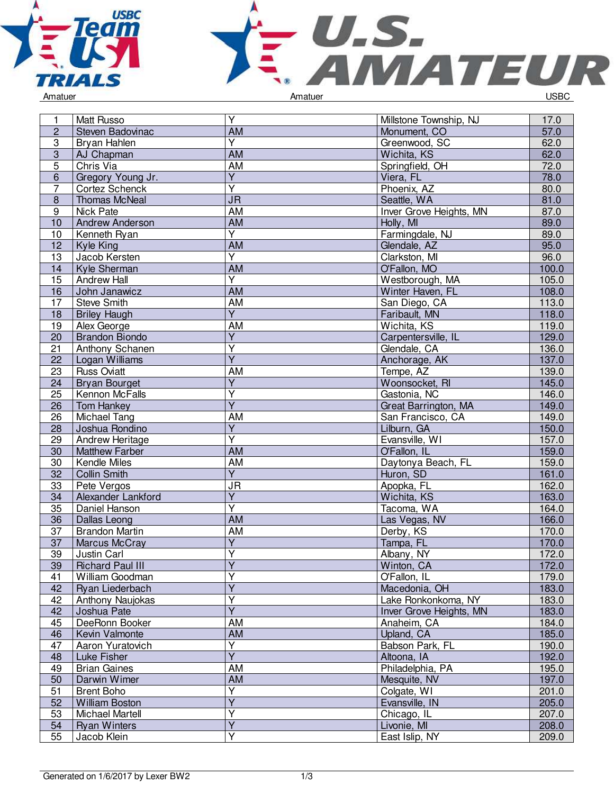



| 1              | <b>Matt Russo</b>                      | $\overline{Y}$          | Millstone Township, NJ  | 17.0           |
|----------------|----------------------------------------|-------------------------|-------------------------|----------------|
| $\overline{2}$ | Steven Badovinac                       | $\overline{AM}$         | Monument, CO            | 57.0           |
| $\overline{3}$ | Bryan Hahlen                           | $\overline{Y}$          | Greenwood, SC           | 62.0           |
| $\sqrt{3}$     | AJ Chapman                             | AM                      | Wichita, KS             | 62.0           |
| 5              | Chris Via                              | AM                      | Springfield, OH         | 72.0           |
| 6              | Gregory Young Jr.                      | $\overline{Y}$          | Viera, FL               | 78.0           |
| $\overline{7}$ | Cortez Schenck                         | $\overline{\mathsf{Y}}$ | Phoenix, AZ             | 80.0           |
| 8              | <b>Thomas McNeal</b>                   | <b>JR</b>               | Seattle, WA             | 81.0           |
| 9              | Nick Pate                              | AM                      | Inver Grove Heights, MN | 87.0           |
| 10             | <b>Andrew Anderson</b>                 | <b>AM</b>               | Holly, MI               | 89.0           |
| 10             | Kenneth Ryan                           | $\overline{Y}$          | Farmingdale, NJ         | 89.0           |
| 12             | Kyle King                              | <b>AM</b>               | Glendale, AZ            | 95.0           |
| 13             | Jacob Kersten                          | $\overline{\mathsf{Y}}$ | Clarkston, MI           | 96.0           |
| 14             | Kyle Sherman                           | <b>AM</b>               | O'Fallon, MO            | 100.0          |
| 15             | <b>Andrew Hall</b>                     | $\overline{Y}$          | Westborough, MA         | 105.0          |
| 16             | John Janawicz                          | AM                      | Winter Haven, FL        | 108.0          |
| 17             | <b>Steve Smith</b>                     | AM                      | San Diego, CA           | 113.0          |
| 18             | <b>Briley Haugh</b>                    | $\overline{Y}$          | Faribault, MN           | 118.0          |
| 19             | Alex George                            | AM                      | Wichita, KS             | 119.0          |
| 20             | <b>Brandon Biondo</b>                  | $\overline{\mathsf{Y}}$ | Carpentersville, IL     | 129.0          |
| 21             | Anthony Schanen                        | $\overline{Y}$          | Glendale, CA            | 136.0          |
| 22             | Logan Williams                         | $\overline{Y}$          | Anchorage, AK           | 137.0          |
| 23             | <b>Russ Oviatt</b>                     | AM                      | Tempe, AZ               | 139.0          |
| 24             | <b>Bryan Bourget</b>                   | $\overline{Y}$          | Woonsocket, RI          | 145.0          |
| 25             | Kennon McFalls                         | $\overline{\mathsf{Y}}$ | Gastonia, NC            | 146.0          |
| 26             | Tom Hankey                             | $\overline{Y}$          | Great Barrington, MA    | 149.0          |
| 26             | Michael Tang                           | AM                      | San Francisco, CA       | 149.0          |
| 28             | Joshua Rondino                         | $\overline{Y}$          | Lilburn, GA             | 150.0          |
| 29             | Andrew Heritage                        | Y                       | Evansville, WI          | 157.0          |
| 30             | <b>Matthew Farber</b>                  | <b>AM</b>               | O'Fallon, IL            | 159.0          |
| 30             | Kendle Miles                           | AM                      | Daytonya Beach, FL      | 159.0          |
| 32             | Collin Smith                           | $\overline{Y}$          | Huron, SD               | 161.0          |
| 33             | Pete Vergos                            | <b>JR</b>               | Apopka, FL              | 162.0          |
| 34             | Alexander Lankford                     | $\overline{Y}$          | Wichita, KS             | 163.0          |
| 35             |                                        | $\overline{\mathsf{Y}}$ | Tacoma, WA              |                |
|                | Daniel Hanson                          | AM                      |                         | 164.0<br>166.0 |
| 36             | Dallas Leong                           |                         | Las Vegas, NV           |                |
| 37<br>37       | <b>Brandon Martin</b><br>Marcus McCray | AM<br>$\overline{Y}$    | Derby, KS<br>Tampa, FL  | 170.0<br>170.0 |
|                |                                        | Y                       |                         |                |
| 39             | Justin Carl                            | $\overline{Y}$          | Albany, NY              | 172.0          |
| 39             | <b>Richard Paul III</b>                | Υ                       | Winton, CA              | 172.0          |
| 41             | William Goodman                        | $\overline{Y}$          | O'Fallon, IL            | 179.0          |
| 42             | Ryan Liederbach                        | $\overline{\mathsf{Y}}$ | Macedonia, OH           | 183.0          |
| 42             | Anthony Naujokas                       |                         | Lake Ronkonkoma, NY     | 183.0          |
| 42             | Joshua Pate                            | $\overline{Y}$          | Inver Grove Heights, MN | 183.0          |
| 45             | DeeRonn Booker                         | AM                      | Anaheim, CA             | 184.0          |
| 46             | Kevin Valmonte                         | AM                      | Upland, CA              | 185.0          |
| 47             | Aaron Yuratovich                       | Y                       | Babson Park, FL         | 190.0          |
| 48             | Luke Fisher                            | $\overline{Y}$          | Altoona, IA             | 192.0          |
| 49             | <b>Brian Gaines</b>                    | <b>AM</b>               | Philadelphia, PA        | 195.0          |
| 50             | Darwin Wimer                           | AM                      | Mesquite, NV            | 197.0          |
| 51             | <b>Brent Boho</b>                      | $\overline{Y}$          | Colgate, WI             | 201.0          |
| 52             | <b>William Boston</b>                  | $\overline{Y}$          | Evansville, IN          | 205.0          |
| 53             | Michael Martell                        | $\overline{Y}$          | Chicago, IL             | 207.0          |
| 54             | <b>Ryan Winters</b>                    | $\overline{Y}$          | Livonie, MI             | 208.0          |
| 55             | Jacob Klein                            | Y                       | East Islip, NY          | 209.0          |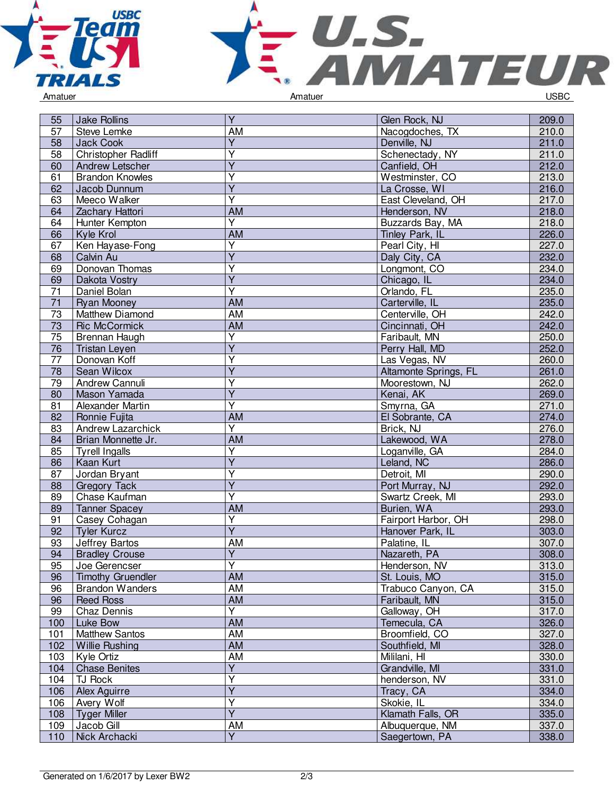



| 57<br><b>Steve Lemke</b><br>AM<br>Nacogdoches, TX<br>Y<br>58<br>Jack Cook<br>Denville, NJ<br><b>Christopher Radliff</b><br>Y<br>Schenectady, NY<br>58<br>Ÿ<br>60<br>Andrew Letscher<br>Canfield, OH<br>Ý<br>61<br><b>Brandon Knowles</b><br>Westminster, CO<br>Ÿ | 210.0<br>211.0<br>211.0<br>212.0<br>213.0<br>216.0<br>217.0 |
|------------------------------------------------------------------------------------------------------------------------------------------------------------------------------------------------------------------------------------------------------------------|-------------------------------------------------------------|
|                                                                                                                                                                                                                                                                  |                                                             |
|                                                                                                                                                                                                                                                                  |                                                             |
|                                                                                                                                                                                                                                                                  |                                                             |
|                                                                                                                                                                                                                                                                  |                                                             |
|                                                                                                                                                                                                                                                                  |                                                             |
| 62<br>Jacob Dunnum<br>La Crosse, WI                                                                                                                                                                                                                              |                                                             |
| Ý<br>63<br>Meeco Walker<br>East Cleveland, OH                                                                                                                                                                                                                    |                                                             |
| <b>AM</b><br>Zachary Hattori<br>64<br>Henderson, NV                                                                                                                                                                                                              | 218.0                                                       |
| $\overline{\mathsf{Y}}$<br>Hunter Kempton<br>64<br>Buzzards Bay, MA                                                                                                                                                                                              | 218.0                                                       |
| 66<br>Kyle Krol<br>AM<br>Tinley Park, IL                                                                                                                                                                                                                         | 226.0                                                       |
| $\overline{\mathsf{Y}}$<br>Ken Hayase-Fong<br>Pearl City, HI<br>67                                                                                                                                                                                               | 227.0                                                       |
| Y<br>68<br>Calvin Au<br>Daly City, CA                                                                                                                                                                                                                            | 232.0                                                       |
| Donovan Thomas<br>Y<br>Longmont, CO<br>69                                                                                                                                                                                                                        | 234.0                                                       |
| $\overline{Y}$<br>69<br>Chicago, IL<br>Dakota Vostry                                                                                                                                                                                                             | 234.0                                                       |
| Ÿ<br>71<br>Daniel Bolan<br>Orlando, FL                                                                                                                                                                                                                           | 235.0                                                       |
| $\overline{71}$<br>AM<br><b>Ryan Mooney</b><br>Carterville, IL                                                                                                                                                                                                   | 235.0                                                       |
| <b>AM</b><br>Centerville, OH<br>73<br>Matthew Diamond                                                                                                                                                                                                            | 242.0                                                       |
| <b>AM</b><br>73<br><b>Ric McCormick</b><br>Cincinnati, OH                                                                                                                                                                                                        | 242.0                                                       |
| $\overline{\mathsf{Y}}$<br>75<br>Brennan Haugh<br>Faribault, MN                                                                                                                                                                                                  | 250.0                                                       |
| $\overline{Y}$<br>Perry Hall, MD<br>76<br><b>Tristan Leyen</b>                                                                                                                                                                                                   | 252.0                                                       |
| Υ<br>77<br>Donovan Koff<br>Las Vegas, NV                                                                                                                                                                                                                         | 260.0                                                       |
| Y<br>78<br>Sean Wilcox<br>Altamonte Springs, FL                                                                                                                                                                                                                  | 261.0                                                       |
| Andrew Cannuli<br>79<br>Y<br>Moorestown, NJ                                                                                                                                                                                                                      | 262.0                                                       |
| $\overline{Y}$<br>80<br>Mason Yamada<br>Kenai, AK                                                                                                                                                                                                                | 269.0                                                       |
| Ÿ<br>81<br>Smyrna, GA<br>Alexander Martin                                                                                                                                                                                                                        | 271.0                                                       |
| AM<br>82<br>Ronnie Fujita<br>El Sobrante, CA                                                                                                                                                                                                                     | 274.0                                                       |
| Υ<br>Brick, NJ<br>83<br>Andrew Lazarchick                                                                                                                                                                                                                        | 276.0                                                       |
| Lakewood, WA<br>Brian Monnette Jr.<br><b>AM</b><br>84                                                                                                                                                                                                            | 278.0                                                       |
| Υ<br><b>Tyrell Ingalls</b><br>85<br>Loganville, GA                                                                                                                                                                                                               | 284.0                                                       |
| $\overline{\mathsf{Y}}$<br>86<br>Kaan Kurt<br>Leland, NC                                                                                                                                                                                                         | 286.0                                                       |
| Υ<br>Jordan Bryant<br>87<br>Detroit, MI                                                                                                                                                                                                                          | 290.0                                                       |
| Ÿ<br>88<br><b>Gregory Tack</b><br>Port Murray, NJ                                                                                                                                                                                                                | 292.0                                                       |
| Υ<br>Swartz Creek, MI<br>Chase Kaufman<br>89                                                                                                                                                                                                                     | 293.0                                                       |
| AM<br>89<br><b>Tanner Spacey</b><br>Burien, WA                                                                                                                                                                                                                   | 293.0                                                       |
| Υ<br>91<br>Fairport Harbor, OH<br>Casey Cohagan                                                                                                                                                                                                                  | 298.0                                                       |
| $\overline{\mathsf{Y}}$<br><b>Tyler Kurcz</b><br>92<br>Hanover Park, IL                                                                                                                                                                                          | 303.0                                                       |
| <b>AM</b><br>Jeffrey Bartos<br>Palatine, IL<br>93                                                                                                                                                                                                                | 307.0                                                       |
| $\overline{Y}$<br><b>Bradley Crouse</b><br>Nazareth, PA<br>94                                                                                                                                                                                                    | 308.0                                                       |
| $\overline{Y}$<br>95<br>Joe Gerencser<br>Henderson, NV                                                                                                                                                                                                           | 313.0                                                       |
| AM<br>96<br><b>Timothy Gruendler</b><br>St. Louis, MO                                                                                                                                                                                                            | 315.0                                                       |
| AM<br>96<br><b>Brandon Wanders</b><br>Trabuco Canyon, CA                                                                                                                                                                                                         | 315.0                                                       |
| AM<br>96<br><b>Reed Ross</b><br>Faribault, MN                                                                                                                                                                                                                    | 315.0                                                       |
| Y<br>Chaz Dennis<br>Galloway, OH<br>99                                                                                                                                                                                                                           | 317.0                                                       |
| <b>AM</b><br>Luke Bow<br>Temecula, CA<br>100                                                                                                                                                                                                                     | 326.0                                                       |
| AM<br>101<br><b>Matthew Santos</b><br>Broomfield, CO                                                                                                                                                                                                             | 327.0                                                       |
| <b>AM</b><br>102<br><b>Willie Rushing</b><br>Southfield, MI                                                                                                                                                                                                      | 328.0                                                       |
| <b>AM</b><br>Mililani, HI<br>103<br>Kyle Ortiz                                                                                                                                                                                                                   | 330.0                                                       |
| $\overline{Y}$<br><b>Chase Benites</b><br>Grandville, MI<br>104                                                                                                                                                                                                  | 331.0                                                       |
| Ý<br>TJ Rock<br>henderson, NV<br>104                                                                                                                                                                                                                             | 331.0                                                       |
| $\overline{Y}$<br>106<br>Alex Aguirre<br>Tracy, CA                                                                                                                                                                                                               | 334.0                                                       |
| Υ<br>Avery Wolf<br>Skokie, IL<br>106                                                                                                                                                                                                                             | 334.0                                                       |
| $\overline{Y}$<br>108<br><b>Tyger Miller</b><br>Klamath Falls, OR                                                                                                                                                                                                | 335.0                                                       |
| Jacob Gill<br>AM<br>Albuquerque, NM<br>109                                                                                                                                                                                                                       | 337.0                                                       |
| $\overline{Y}$<br>110<br>Nick Archacki<br>Saegertown, PA                                                                                                                                                                                                         | 338.0                                                       |